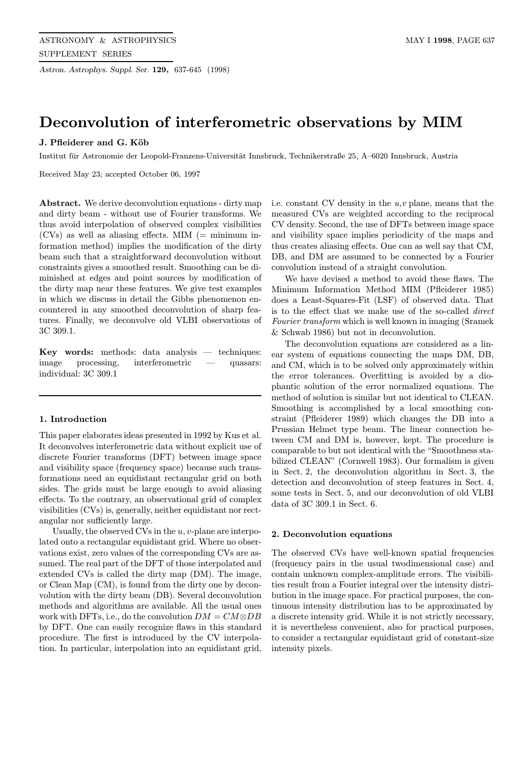Astron. Astrophys. Suppl. Ser. 129, 637-645 (1998)

# Deconvolution of interferometric observations by MIM

## J. Pfleiderer and G. Köb

Institut für Astronomie der Leopold-Franzens-Universität Innsbruck, Technikerstraße 25, A–6020 Innsbruck, Austria

Received May 23; accepted October 06, 1997

Abstract. We derive deconvolution equations - dirty map and dirty beam - without use of Fourier transforms. We thus avoid interpolation of observed complex visibilities  $(CVs)$  as well as aliasing effects. MIM  $(=$  minimum information method) implies the modification of the dirty beam such that a straightforward deconvolution without constraints gives a smoothed result. Smoothing can be diminished at edges and point sources by modification of the dirty map near these features. We give test examples in which we discuss in detail the Gibbs phenomenon encountered in any smoothed deconvolution of sharp features. Finally, we deconvolve old VLBI observations of 3C 309.1.

**Key words:** methods: data analysis  $-$  techniques: image processing, interferometric — quasars: individual: 3C 309.1

#### 1. Introduction

This paper elaborates ideas presented in 1992 by Kus et al. It deconvolves interferometric data without explicit use of discrete Fourier transforms (DFT) between image space and visibility space (frequency space) because such transformations need an equidistant rectangular grid on both sides. The grids must be large enough to avoid aliasing effects. To the contrary, an observational grid of complex visibilities (CVs) is, generally, neither equidistant nor rectangular nor sufficiently large.

Usually, the observed CVs in the  $u, v$ -plane are interpolated onto a rectangular equidistant grid. Where no observations exist, zero values of the corresponding CVs are assumed. The real part of the DFT of those interpolated and extended CVs is called the dirty map (DM). The image, or Clean Map (CM), is found from the dirty one by deconvolution with the dirty beam (DB). Several deconvolution methods and algorithms are available. All the usual ones work with DFTs, i.e., do the convolution  $DM = CM \otimes DB$ by DFT. One can easily recognize flaws in this standard procedure. The first is introduced by the CV interpolation. In particular, interpolation into an equidistant grid,

i.e. constant CV density in the u,v plane, means that the measured CVs are weighted according to the reciprocal CV density. Second, the use of DFTs between image space and visibility space implies periodicity of the maps and thus creates aliasing effects. One can as well say that CM, DB, and DM are assumed to be connected by a Fourier convolution instead of a straight convolution.

We have devised a method to avoid these flaws. The Minimum Information Method MIM (Pfleiderer 1985) does a Least-Squares-Fit (LSF) of observed data. That is to the effect that we make use of the so-called direct Fourier transform which is well known in imaging (Sramek & Schwab 1986) but not in deconvolution.

The deconvolution equations are considered as a linear system of equations connecting the maps DM, DB, and CM, which is to be solved only approximately within the error tolerances. Overfitting is avoided by a diophantic solution of the error normalized equations. The method of solution is similar but not identical to CLEAN. Smoothing is accomplished by a local smoothing constraint (Pfleiderer 1989) which changes the DB into a Prussian Helmet type beam. The linear connection between CM and DM is, however, kept. The procedure is comparable to but not identical with the "Smoothness stabilized CLEAN" (Cornwell 1983). Our formalism is given in Sect. 2, the deconvolution algorithm in Sect. 3, the detection and deconvolution of steep features in Sect. 4, some tests in Sect. 5, and our deconvolution of old VLBI data of 3C 309.1 in Sect. 6.

#### 2. Deconvolution equations

The observed CVs have well-known spatial frequencies (frequency pairs in the usual twodimensional case) and contain unknown complex-amplitude errors. The visibilities result from a Fourier integral over the intensity distribution in the image space. For practical purposes, the continuous intensity distribution has to be approximated by a discrete intensity grid. While it is not strictly necessary, it is nevertheless convenient, also for practical purposes, to consider a rectangular equidistant grid of constant-size intensity pixels.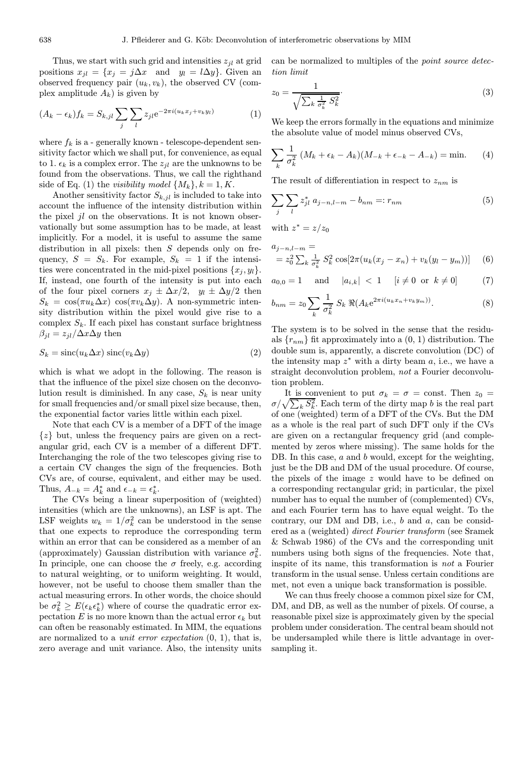Thus, we start with such grid and intensities  $z_{il}$  at grid positions  $x_{jl} = \{x_j = j\Delta x \text{ and } y_l = l\Delta y\}$ . Given an observed frequency pair  $(u_k, v_k)$ , the observed CV (complex amplitude  $A_k$ ) is given by

$$
(A_k - \epsilon_k) f_k = S_{k,jl} \sum_j \sum_l z_{jl} e^{-2\pi i (u_k x_j + v_k y_l)}
$$
(1)

where  $f_k$  is a - generally known - telescope-dependent sensitivity factor which we shall put, for convenience, as equal to 1.  $\epsilon_k$  is a complex error. The  $z_{il}$  are the unknowns to be found from the observations. Thus, we call the righthand side of Eq. (1) the *visibility model*  $\{M_k\}, k = 1, K$ .

Another sensitivity factor  $S_{k,jl}$  is included to take into account the influence of the intensity distribution within the pixel  $il$  on the observations. It is not known observationally but some assumption has to be made, at least implicitly. For a model, it is useful to assume the same distribution in all pixels: then  $S$  depends only on frequency,  $S = S_k$ . For example,  $S_k = 1$  if the intensities were concentrated in the mid-pixel positions  $\{x_i, y_i\}.$ If, instead, one fourth of the intensity is put into each of the four pixel corners  $x_j \pm \Delta x/2$ ,  $y_l \pm \Delta y/2$  then  $S_k = \cos(\pi u_k \Delta x) \cos(\pi v_k \Delta y)$ . A non-symmetric intensity distribution within the pixel would give rise to a complex  $S_k$ . If each pixel has constant surface brightness  $\beta_{il} = z_{il}/\Delta x \Delta y$  then

$$
S_k = \text{sinc}(u_k \Delta x) \text{sinc}(v_k \Delta y) \tag{2}
$$

which is what we adopt in the following. The reason is that the influence of the pixel size chosen on the deconvolution result is diminished. In any case,  $S_k$  is near unity for small frequencies and/or small pixel size because, then, the exponential factor varies little within each pixel.

Note that each CV is a member of a DFT of the image  $\{z\}$  but, unless the frequency pairs are given on a rectangular grid, each CV is a member of a different DFT. Interchanging the role of the two telescopes giving rise to a certain CV changes the sign of the frequencies. Both CVs are, of course, equivalent, and either may be used. Thus,  $A_{-k} = A_k^*$  and  $\epsilon_{-k} = \epsilon_k^*$ .

The CVs being a linear superposition of (weighted) intensities (which are the unknowns), an LSF is apt. The LSF weights  $w_k = 1/\sigma_k^2$  can be understood in the sense that one expects to reproduce the corresponding term within an error that can be considered as a member of an (approximately) Gaussian distribution with variance  $\sigma_k^2$ . In principle, one can choose the  $\sigma$  freely, e.g. according to natural weighting, or to uniform weighting. It would, however, not be useful to choose them smaller than the actual measuring errors. In other words, the choice should be  $\sigma_k^2 \geq E(\epsilon_k \epsilon_k^*)$  where of course the quadratic error expectation E is no more known than the actual error  $\epsilon_k$  but can often be reasonably estimated. In MIM, the equations are normalized to a *unit error expectation*  $(0, 1)$ , that is, zero average and unit variance. Also, the intensity units

can be normalized to multiples of the point source detection limit

$$
z_0 = \frac{1}{\sqrt{\sum_k \frac{1}{\sigma_k^2} S_k^2}}.\tag{3}
$$

We keep the errors formally in the equations and minimize the absolute value of model minus observed CVs,

$$
\sum_{k} \frac{1}{\sigma_k^2} \left( M_k + \epsilon_k - A_k \right) \left( M_{-k} + \epsilon_{-k} - A_{-k} \right) = \min. \tag{4}
$$

The result of differentiation in respect to  $z_{nm}$  is

$$
\sum_{j} \sum_{l} z_{jl}^{*} a_{j-n,l-m} - b_{nm} =: r_{nm}
$$
 (5)

with 
$$
z^* = z/z_0
$$

$$
a_{j-n,l-m} =
$$
  
=  $z_0^2 \sum_k \frac{1}{\sigma_k^2} S_k^2 \cos[2\pi(u_k(x_j - x_n) + v_k(y_l - y_m))]$  (6)

$$
a_{0,0} = 1
$$
 and  $|a_{i,k}| < 1$   $[i \neq 0 \text{ or } k \neq 0]$  (7)

$$
b_{nm} = z_0 \sum_{k} \frac{1}{\sigma_k^2} S_k \Re(A_k e^{2\pi i (u_k x_n + v_k y_m))}.
$$
 (8)

The system is to be solved in the sense that the residuals  $\{r_{nm}\}\$ fit approximately into a  $(0, 1)$  distribution. The double sum is, apparently, a discrete convolution (DC) of the intensity map  $z^*$  with a dirty beam a, i.e., we have a straight deconvolution problem, not a Fourier deconvolution problem.

It is convenient to put  $\sigma_k = \sigma = \text{const.}$  Then  $z_0 =$  $\sigma/\sqrt{\sum_k S_k^2}$ . Each term of the dirty map b is the real part of one (weighted) term of a DFT of the CVs. But the DM as a whole is the real part of such DFT only if the CVs are given on a rectangular frequency grid (and complemented by zeros where missing). The same holds for the DB. In this case, a and b would, except for the weighting, just be the DB and DM of the usual procedure. Of course, the pixels of the image z would have to be defined on a corresponding rectangular grid; in particular, the pixel number has to equal the number of (complemented) CVs, and each Fourier term has to have equal weight. To the contrary, our DM and DB, i.e.,  $b$  and  $a$ , can be considered as a (weighted) direct Fourier transform (see Sramek & Schwab 1986) of the CVs and the corresponding unit numbers using both signs of the frequencies. Note that, inspite of its name, this transformation is not a Fourier transform in the usual sense. Unless certain conditions are met, not even a unique back transformation is possible.

We can thus freely choose a common pixel size for CM, DM, and DB, as well as the number of pixels. Of course, a reasonable pixel size is approximately given by the special problem under consideration. The central beam should not be undersampled while there is little advantage in oversampling it.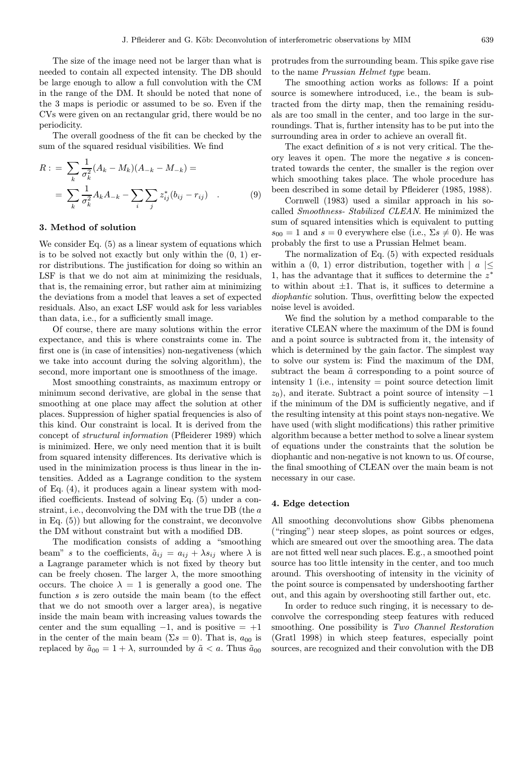The size of the image need not be larger than what is needed to contain all expected intensity. The DB should be large enough to allow a full convolution with the CM in the range of the DM. It should be noted that none of the 3 maps is periodic or assumed to be so. Even if the CVs were given on an rectangular grid, there would be no periodicity.

The overall goodness of the fit can be checked by the sum of the squared residual visibilities. We find

$$
R: = \sum_{k} \frac{1}{\sigma_k^2} (A_k - M_k)(A_{-k} - M_{-k}) =
$$
  
= 
$$
\sum_{k} \frac{1}{\sigma_k^2} A_k A_{-k} - \sum_{i} \sum_{j} z_{ij}^* (b_{ij} - r_{ij})
$$
 (9)

### 3. Method of solution

We consider Eq.  $(5)$  as a linear system of equations which is to be solved not exactly but only within the  $(0, 1)$  error distributions. The justification for doing so within an LSF is that we do not aim at minimizing the residuals, that is, the remaining error, but rather aim at minimizing the deviations from a model that leaves a set of expected residuals. Also, an exact LSF would ask for less variables than data, i.e., for a sufficiently small image.

Of course, there are many solutions within the error expectance, and this is where constraints come in. The first one is (in case of intensities) non-negativeness (which we take into account during the solving algorithm), the second, more important one is smoothness of the image.

Most smoothing constraints, as maximum entropy or minimum second derivative, are global in the sense that smoothing at one place may affect the solution at other places. Suppression of higher spatial frequencies is also of this kind. Our constraint is local. It is derived from the concept of structural information (Pfleiderer 1989) which is minimized. Here, we only need mention that it is built from squared intensity differences. Its derivative which is used in the minimization process is thus linear in the intensities. Added as a Lagrange condition to the system of Eq. (4), it produces again a linear system with modified coefficients. Instead of solving Eq. (5) under a constraint, i.e., deconvolving the DM with the true DB (the a in Eq. (5)) but allowing for the constraint, we deconvolve the DM without constraint but with a modified DB.

The modification consists of adding a "smoothing beam" s to the coefficients,  $\tilde{a}_{ij} = a_{ij} + \lambda s_{ij}$  where  $\lambda$  is a Lagrange parameter which is not fixed by theory but can be freely chosen. The larger  $\lambda$ , the more smoothing occurs. The choice  $\lambda = 1$  is generally a good one. The function s is zero outside the main beam (to the effect that we do not smooth over a larger area), is negative inside the main beam with increasing values towards the center and the sum equalling  $-1$ , and is positive  $= +1$ in the center of the main beam ( $\Sigma s = 0$ ). That is,  $a_{00}$  is replaced by  $\tilde{a}_{00} = 1 + \lambda$ , surrounded by  $\tilde{a} < a$ . Thus  $\tilde{a}_{00}$  protrudes from the surrounding beam. This spike gave rise to the name Prussian Helmet type beam.

The smoothing action works as follows: If a point source is somewhere introduced, i.e., the beam is subtracted from the dirty map, then the remaining residuals are too small in the center, and too large in the surroundings. That is, further intensity has to be put into the surrounding area in order to achieve an overall fit.

The exact definition of  $s$  is not very critical. The theory leaves it open. The more the negative s is concentrated towards the center, the smaller is the region over which smoothing takes place. The whole procedure has been described in some detail by Pfleiderer (1985, 1988).

Cornwell (1983) used a similar approach in his socalled Smoothness- Stabilized CLEAN. He minimized the sum of squared intensities which is equivalent to putting  $s_{00} = 1$  and  $s = 0$  everywhere else (i.e.,  $\Sigma s \neq 0$ ). He was probably the first to use a Prussian Helmet beam.

The normalization of Eq. (5) with expected residuals within a  $(0, 1)$  error distribution, together with  $|a| \leq$ 1, has the advantage that it suffices to determine the  $z^*$ to within about  $\pm 1$ . That is, it suffices to determine a diophantic solution. Thus, overfitting below the expected noise level is avoided.

We find the solution by a method comparable to the iterative CLEAN where the maximum of the DM is found and a point source is subtracted from it, the intensity of which is determined by the gain factor. The simplest way to solve our system is: Find the maximum of the DM, subtract the beam  $\tilde{a}$  corresponding to a point source of intensity  $1$  (i.e., intensity  $=$  point source detection limit  $z_0$ ), and iterate. Subtract a point source of intensity  $-1$ if the minimum of the DM is sufficiently negative, and if the resulting intensity at this point stays non-negative. We have used (with slight modifications) this rather primitive algorithm because a better method to solve a linear system of equations under the constraints that the solution be diophantic and non-negative is not known to us. Of course, the final smoothing of CLEAN over the main beam is not necessary in our case.

#### 4. Edge detection

All smoothing deconvolutions show Gibbs phenomena ("ringing") near steep slopes, as point sources or edges, which are smeared out over the smoothing area. The data are not fitted well near such places. E.g., a smoothed point source has too little intensity in the center, and too much around. This overshooting of intensity in the vicinity of the point source is compensated by undershooting farther out, and this again by overshooting still farther out, etc.

In order to reduce such ringing, it is necessary to deconvolve the corresponding steep features with reduced smoothing. One possibility is Two Channel Restoration (Gratl 1998) in which steep features, especially point sources, are recognized and their convolution with the DB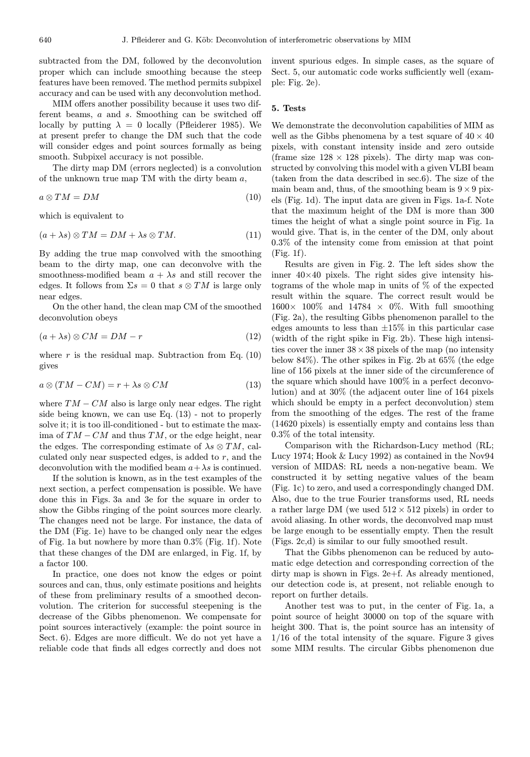subtracted from the DM, followed by the deconvolution proper which can include smoothing because the steep features have been removed. The method permits subpixel accuracy and can be used with any deconvolution method.

MIM offers another possibility because it uses two different beams, a and s. Smoothing can be switched off locally by putting  $\lambda = 0$  locally (Pfleiderer 1985). We at present prefer to change the DM such that the code will consider edges and point sources formally as being smooth. Subpixel accuracy is not possible.

The dirty map DM (errors neglected) is a convolution of the unknown true map  $TM$  with the dirty beam  $a$ ,

$$
a \otimes TM = DM \tag{10}
$$

which is equivalent to

$$
(a + \lambda s) \otimes TM = DM + \lambda s \otimes TM. \tag{11}
$$

By adding the true map convolved with the smoothing beam to the dirty map, one can deconvolve with the smoothness-modified beam  $a + \lambda s$  and still recover the edges. It follows from  $\Sigma s = 0$  that  $s \otimes TM$  is large only near edges.

On the other hand, the clean map CM of the smoothed deconvolution obeys

$$
(a + \lambda s) \otimes CM = DM - r \tag{12}
$$

where r is the residual map. Subtraction from Eq.  $(10)$ gives

$$
a \otimes (TM - CM) = r + \lambda s \otimes CM \tag{13}
$$

where  $TM - CM$  also is large only near edges. The right side being known, we can use Eq. (13) - not to properly solve it; it is too ill-conditioned - but to estimate the maxima of  $TM - CM$  and thus  $TM$ , or the edge height, near the edges. The corresponding estimate of  $\lambda s \otimes TM$ , calculated only near suspected edges, is added to r, and the deconvolution with the modified beam  $a + \lambda s$  is continued.

If the solution is known, as in the test examples of the next section, a perfect compensation is possible. We have done this in Figs. 3a and 3e for the square in order to show the Gibbs ringing of the point sources more clearly. The changes need not be large. For instance, the data of the DM (Fig. 1e) have to be changed only near the edges of Fig. 1a but nowhere by more than 0.3% (Fig. 1f). Note that these changes of the DM are enlarged, in Fig. 1f, by a factor 100.

In practice, one does not know the edges or point sources and can, thus, only estimate positions and heights of these from preliminary results of a smoothed deconvolution. The criterion for successful steepening is the decrease of the Gibbs phenomenon. We compensate for point sources interactively (example: the point source in Sect. 6). Edges are more difficult. We do not yet have a reliable code that finds all edges correctly and does not invent spurious edges. In simple cases, as the square of Sect. 5, our automatic code works sufficiently well (example: Fig. 2e).

## 5. Tests

We demonstrate the deconvolution capabilities of MIM as well as the Gibbs phenomena by a test square of  $40 \times 40$ pixels, with constant intensity inside and zero outside (frame size  $128 \times 128$  pixels). The dirty map was constructed by convolving this model with a given VLBI beam (taken from the data described in sec.6). The size of the main beam and, thus, of the smoothing beam is  $9 \times 9$  pixels (Fig. 1d). The input data are given in Figs. 1a-f. Note that the maximum height of the DM is more than 300 times the height of what a single point source in Fig. 1a would give. That is, in the center of the DM, only about 0.3% of the intensity come from emission at that point (Fig. 1f).

Results are given in Fig. 2. The left sides show the inner  $40\times40$  pixels. The right sides give intensity histograms of the whole map in units of % of the expected result within the square. The correct result would be  $1600\times 100\%$  and  $14784\times 0\%$ . With full smoothing (Fig. 2a), the resulting Gibbs phenomenon parallel to the edges amounts to less than  $\pm 15\%$  in this particular case (width of the right spike in Fig. 2b). These high intensities cover the inner  $38 \times 38$  pixels of the map (no intensity below 84%). The other spikes in Fig. 2b at 65% (the edge line of 156 pixels at the inner side of the circumference of the square which should have 100% in a perfect deconvolution) and at 30% (the adjacent outer line of 164 pixels which should be empty in a perfect deconvolution) stem from the smoothing of the edges. The rest of the frame (14620 pixels) is essentially empty and contains less than 0.3% of the total intensity.

Comparison with the Richardson-Lucy method (RL; Lucy 1974; Hook & Lucy 1992) as contained in the Nov94 version of MIDAS: RL needs a non-negative beam. We constructed it by setting negative values of the beam (Fig. 1c) to zero, and used a correspondingly changed DM. Also, due to the true Fourier transforms used, RL needs a rather large DM (we used  $512 \times 512$  pixels) in order to avoid aliasing. In other words, the deconvolved map must be large enough to be essentially empty. Then the result (Figs. 2c,d) is similar to our fully smoothed result.

That the Gibbs phenomenon can be reduced by automatic edge detection and corresponding correction of the dirty map is shown in Figs. 2e+f. As already mentioned, our detection code is, at present, not reliable enough to report on further details.

Another test was to put, in the center of Fig. 1a, a point source of height 30000 on top of the square with height 300. That is, the point source has an intensity of 1/16 of the total intensity of the square. Figure 3 gives some MIM results. The circular Gibbs phenomenon due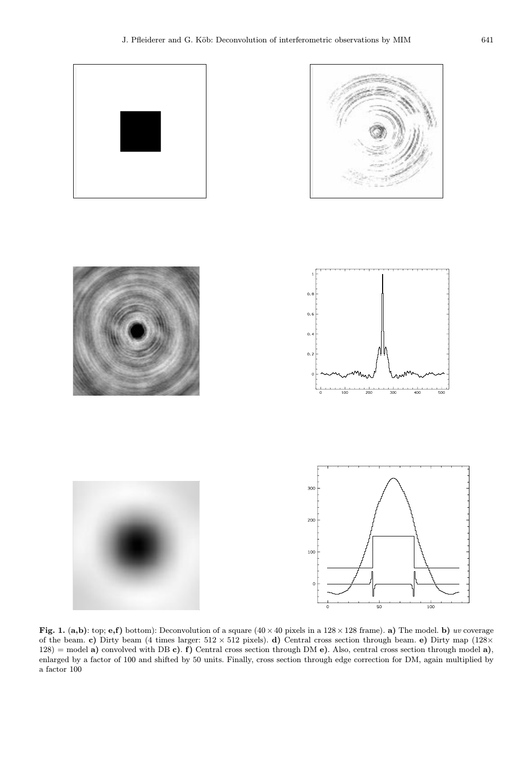

Fig. 1. (a,b): top; e,f) bottom): Deconvolution of a square  $(40 \times 40 \text{ pixels in a } 128 \times 128 \text{ frame})$ . a) The model. b) uv coverage of the beam. c) Dirty beam (4 times larger:  $512 \times 512$  pixels). d) Central cross section through beam. e) Dirty map (128×  $128$ ) = model a) convolved with DB c). f) Central cross section through DM e). Also, central cross section through model a), enlarged by a factor of 100 and shifted by 50 units. Finally, cross section through edge correction for DM, again multiplied by a factor 100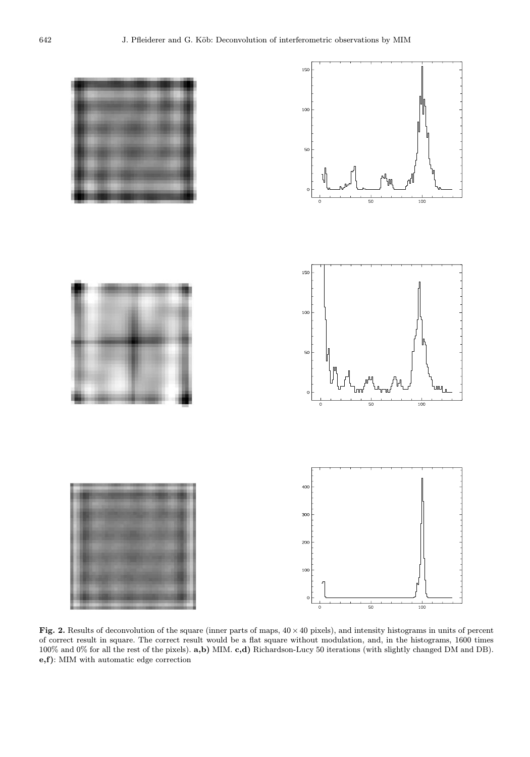

Fig. 2. Results of deconvolution of the square (inner parts of maps,  $40 \times 40$  pixels), and intensity histograms in units of percent of correct result in square. The correct result would be a flat square without modulation, and, in the histograms, 1600 times 100% and 0% for all the rest of the pixels). a,b) MIM. c,d) Richardson-Lucy 50 iterations (with slightly changed DM and DB). e,f): MIM with automatic edge correction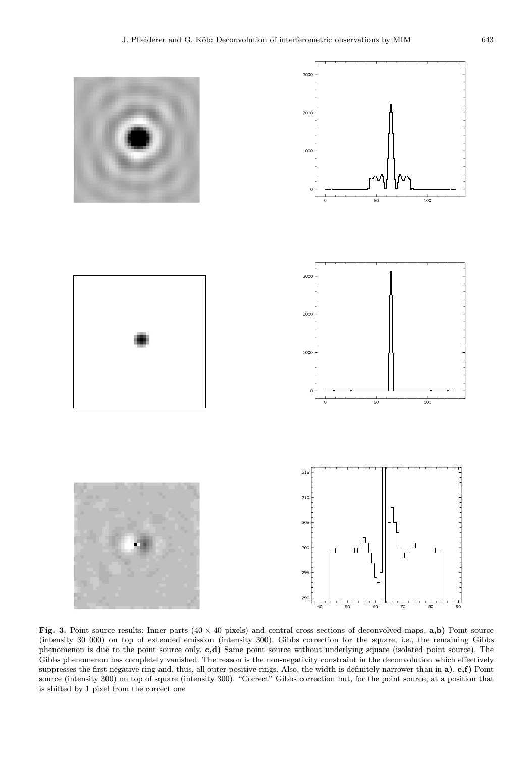

Fig. 3. Point source results: Inner parts  $(40 \times 40 \text{ pixels})$  and central cross sections of deconvolved maps. a,b) Point source (intensity 30 000) on top of extended emission (intensity 300). Gibbs correction for the square, i.e., the remaining Gibbs phenomenon is due to the point source only. c,d) Same point source without underlying square (isolated point source). The Gibbs phenomenon has completely vanished. The reason is the non-negativity constraint in the deconvolution which effectively suppresses the first negative ring and, thus, all outer positive rings. Also, the width is definitely narrower than in a). e,f) Point source (intensity 300) on top of square (intensity 300). "Correct" Gibbs correction but, for the point source, at a position that is shifted by 1 pixel from the correct one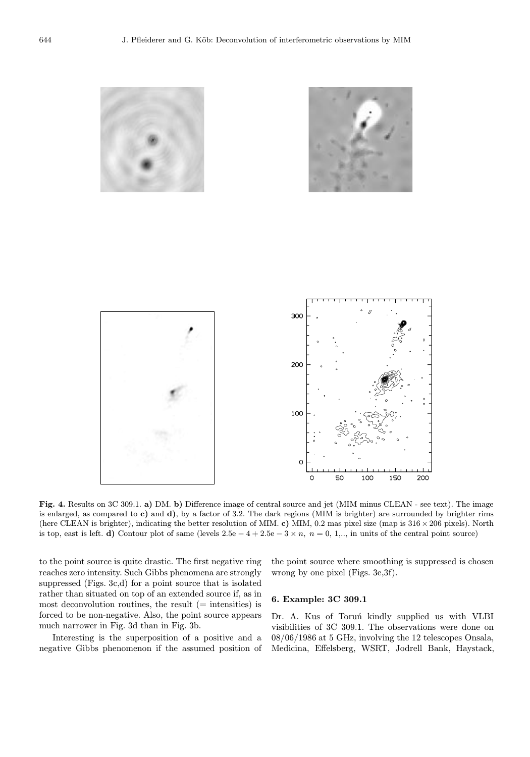





Fig. 4. Results on 3C 309.1. a) DM. b) Difference image of central source and jet (MIM minus CLEAN - see text). The image is enlarged, as compared to c) and d), by a factor of 3.2. The dark regions (MIM is brighter) are surrounded by brighter rims (here CLEAN is brighter), indicating the better resolution of MIM. c) MIM, 0.2 mas pixel size (map is  $316 \times 206$  pixels). North is top, east is left. d) Contour plot of same (levels  $2.5e - 4 + 2.5e - 3 \times n$ ,  $n = 0, 1, ...$ , in units of the central point source)

to the point source is quite drastic. The first negative ring reaches zero intensity. Such Gibbs phenomena are strongly suppressed (Figs. 3c,d) for a point source that is isolated rather than situated on top of an extended source if, as in most deconvolution routines, the result  $(=$  intensities) is forced to be non-negative. Also, the point source appears much narrower in Fig. 3d than in Fig. 3b.

Interesting is the superposition of a positive and a negative Gibbs phenomenon if the assumed position of the point source where smoothing is suppressed is chosen wrong by one pixel (Figs. 3e,3f).

#### 6. Example: 3C 309.1

Dr. A. Kus of Toruń kindly supplied us with VLBI visibilities of 3C 309.1. The observations were done on 08/06/1986 at 5 GHz, involving the 12 telescopes Onsala, Medicina, Effelsberg, WSRT, Jodrell Bank, Haystack,